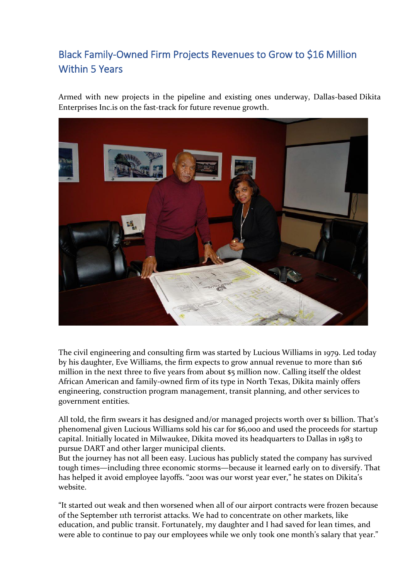## [Black Family-Owned Firm Projects Revenues to Grow to \\$16 Million](http://dikita.devbucket.me/wp-content/uploads/2020/05/Texas-Metro-News-11-13-19-2.pdf)  [Within 5 Years](http://dikita.devbucket.me/wp-content/uploads/2020/05/Texas-Metro-News-11-13-19-2.pdf)

Armed with new projects in the pipeline and existing ones underway, Dallas-based Dikita Enterprises Inc.is on the fast-track for future revenue growth.



The civil engineering and consulting firm was started by Lucious Williams in 1979. Led today by his daughter, Eve Williams, the firm expects to grow annual revenue to more than \$16 million in the next three to five years from about \$5 million now. Calling itself the oldest African American and family-owned firm of its type in North Texas, Dikita mainly offers engineering, construction program management, transit planning, and other services to government entities.

All told, the firm swears it has designed and/or managed projects worth over \$1 billion. That's phenomenal given Lucious Williams sold his car for \$6,000 and used the proceeds for startup capital. Initially located in Milwaukee, Dikita moved its headquarters to Dallas in 1983 to pursue DART and other larger municipal clients.

But the journey has not all been easy. Lucious has publicly stated the company has survived tough times—including three economic storms—because it learned early on to diversify. That has helped it avoid employee layoffs. "2001 was our worst year ever," he states on Dikita's website.

"It started out weak and then worsened when all of our airport contracts were frozen because of the September 11th terrorist attacks. We had to concentrate on other markets, like education, and public transit. Fortunately, my daughter and I had saved for lean times, and were able to continue to pay our employees while we only took one month's salary that year."